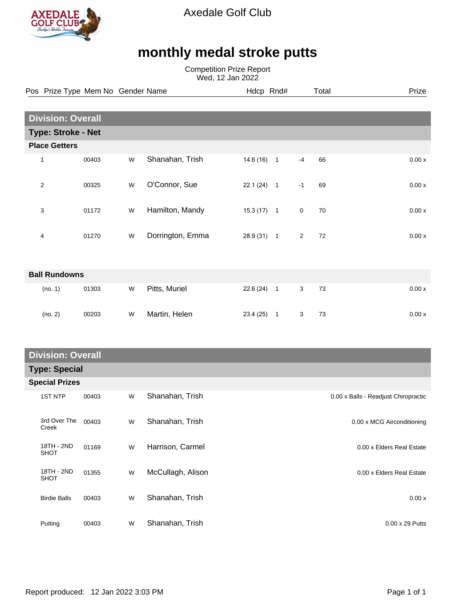

Axedale Golf Club

## **monthly medal stroke putts**

Competition Prize Report Wed, 12 Jan 2022

|                      |                           | Pos Prize Type Mem No Gender Name |   |                  | Hdcp Rnd#    |              |             | Total | Prize  |  |  |
|----------------------|---------------------------|-----------------------------------|---|------------------|--------------|--------------|-------------|-------|--------|--|--|
|                      |                           |                                   |   |                  |              |              |             |       |        |  |  |
|                      | <b>Division: Overall</b>  |                                   |   |                  |              |              |             |       |        |  |  |
|                      | <b>Type: Stroke - Net</b> |                                   |   |                  |              |              |             |       |        |  |  |
| <b>Place Getters</b> |                           |                                   |   |                  |              |              |             |       |        |  |  |
|                      | $\mathbf{1}$              | 00403                             | W | Shanahan, Trish  | $14.6(16)$ 1 |              | $-4$        | 66    | 0.00 x |  |  |
|                      | $\overline{c}$            | 00325                             | W | O'Connor, Sue    | $22.1(24)$ 1 |              | $-1$        | 69    | 0.00x  |  |  |
|                      | 3                         | 01172                             | W | Hamilton, Mandy  | $15.3(17)$ 1 |              | $\mathbf 0$ | 70    | 0.00x  |  |  |
|                      | $\overline{4}$            | 01270                             | W | Dorrington, Emma | $28.9(31)$ 1 |              | 2           | 72    | 0.00x  |  |  |
| <b>Ball Rundowns</b> |                           |                                   |   |                  |              |              |             |       |        |  |  |
|                      | (no. 1)                   | 01303                             | W | Pitts, Muriel    | 22.6(24)     | $\mathbf{1}$ | 3           | 73    | 0.00 x |  |  |
|                      | (no. 2)                   | 00203                             | W | Martin, Helen    | $23.4(25)$ 1 |              | 3           | 73    | 0.00x  |  |  |

## **Division: Overall**

| <b>PIVISIVII. OVGIUI</b> |                           |       |   |                   |                                      |  |  |  |  |
|--------------------------|---------------------------|-------|---|-------------------|--------------------------------------|--|--|--|--|
|                          | <b>Type: Special</b>      |       |   |                   |                                      |  |  |  |  |
|                          | <b>Special Prizes</b>     |       |   |                   |                                      |  |  |  |  |
|                          | <b>1ST NTP</b>            | 00403 | W | Shanahan, Trish   | 0.00 x Balls - Readjust Chiropractic |  |  |  |  |
|                          | 3rd Over The<br>Creek     | 00403 | W | Shanahan, Trish   | 0.00 x MCG Airconditioning           |  |  |  |  |
|                          | 18TH - 2ND<br><b>SHOT</b> | 01169 | W | Harrison, Carmel  | 0.00 x Elders Real Estate            |  |  |  |  |
|                          | 18TH - 2ND<br><b>SHOT</b> | 01355 | W | McCullagh, Alison | 0.00 x Elders Real Estate            |  |  |  |  |
|                          | <b>Birdie Balls</b>       | 00403 | W | Shanahan, Trish   | 0.00x                                |  |  |  |  |
|                          | Putting                   | 00403 | W | Shanahan, Trish   | $0.00 \times 29$ Putts               |  |  |  |  |